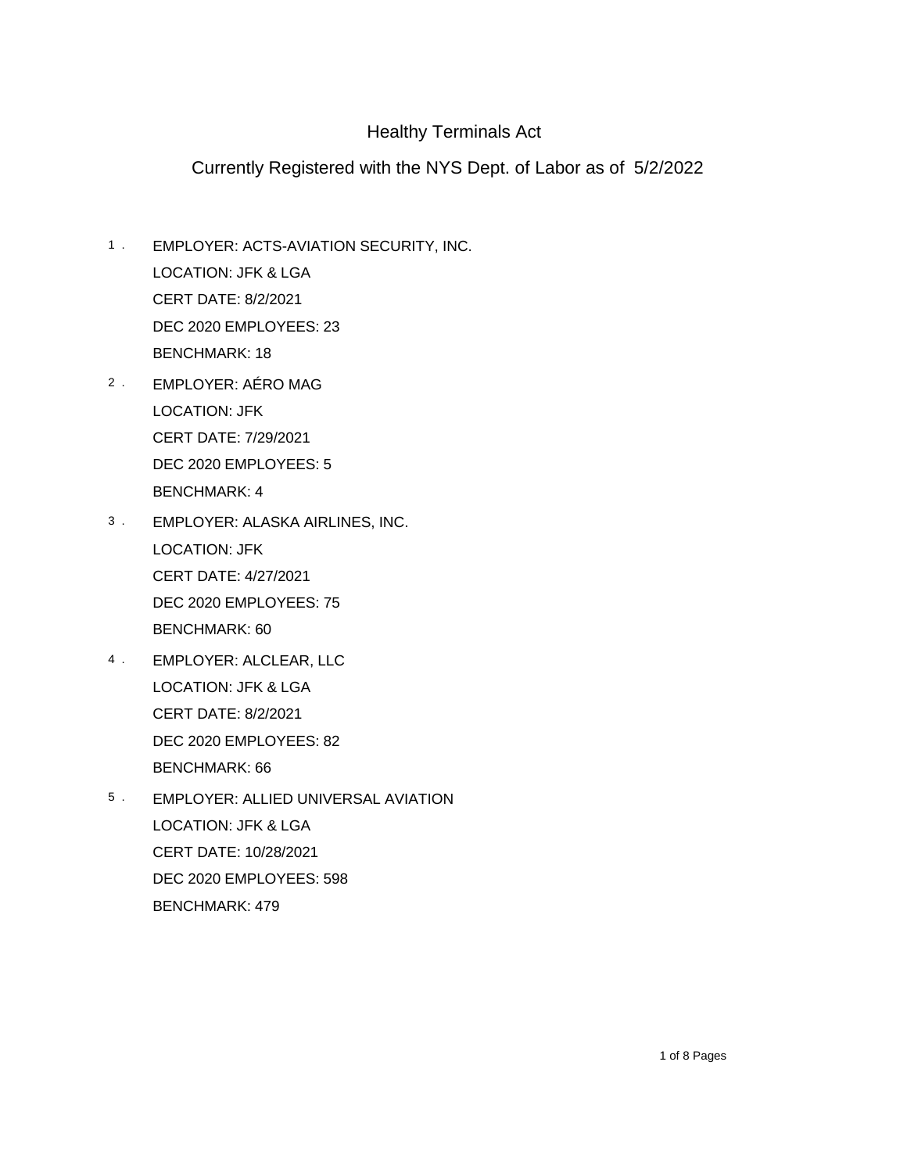- EMPLOYER: ACTS-AVIATION SECURITY, INC. CERT DATE: 8/2/2021 1 . DEC 2020 EMPLOYEES: 23 BENCHMARK: 18 LOCATION: JFK & LGA
- 2 . EMPLOYER: AERO MAG CERT DATE: 7/29/2021 DEC 2020 EMPLOYEES: 5 BENCHMARK: 4 LOCATION: JFK
- EMPLOYER: ALASKA AIRLINES, INC. CERT DATE: 4/27/2021 3 . DEC 2020 EMPLOYEES: 75 BENCHMARK: 60 LOCATION: JFK
- EMPLOYER: ALCLEAR, LLC CERT DATE: 8/2/2021 4 . DEC 2020 EMPLOYEES: 82 BENCHMARK: 66 LOCATION: JFK & LGA
- EMPLOYER: ALLIED UNIVERSAL AVIATION CERT DATE: 10/28/2021 5 . DEC 2020 EMPLOYEES: 598 BENCHMARK: 479 LOCATION: JFK & LGA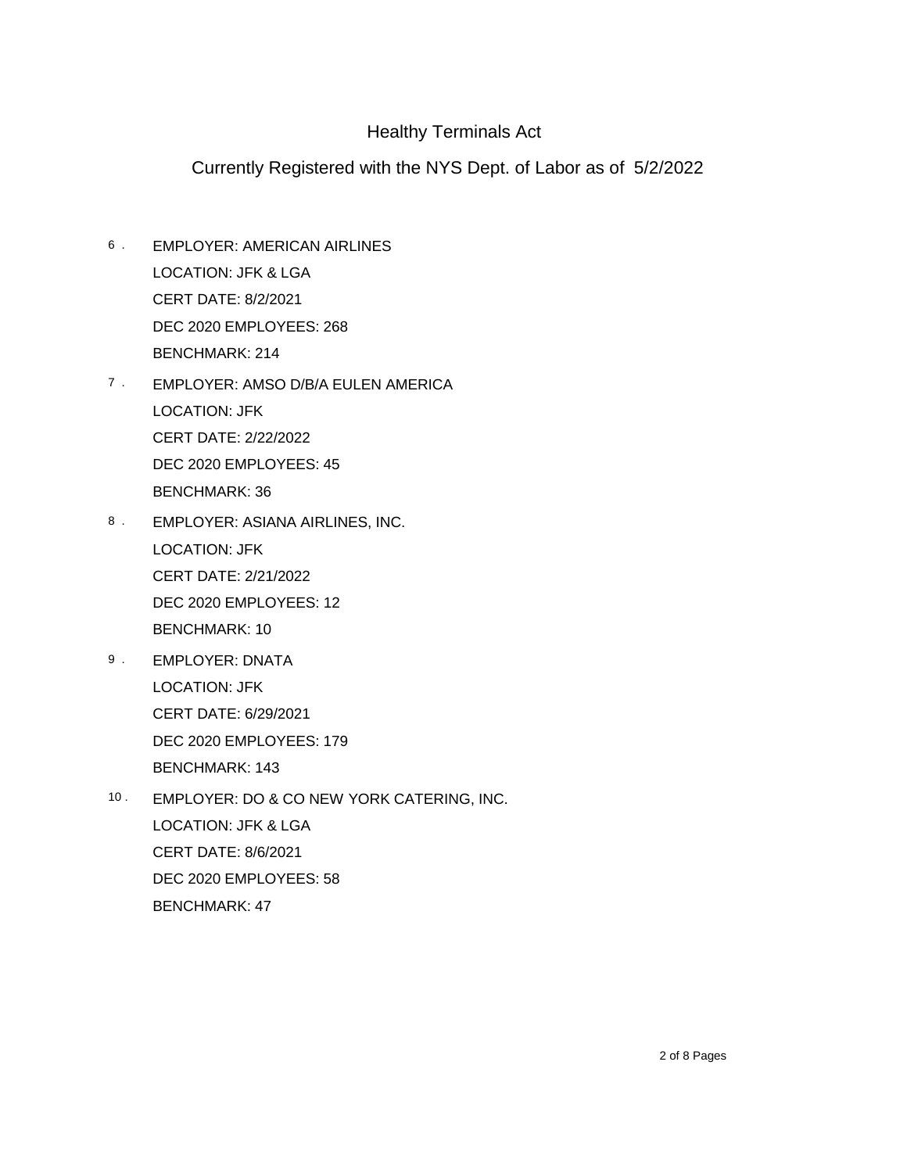- EMPLOYER: AMERICAN AIRLINES CERT DATE: 8/2/2021 6 . DEC 2020 EMPLOYEES: 268 BENCHMARK: 214 LOCATION: JFK & LGA
- 7 · EMPLOYER: AMSO D/B/A EULEN AMERICA CERT DATE: 2/22/2022 DEC 2020 EMPLOYEES: 45 BENCHMARK: 36 LOCATION: JFK
- EMPLOYER: ASIANA AIRLINES, INC. CERT DATE: 2/21/2022 8 . DEC 2020 EMPLOYEES: 12 BENCHMARK: 10 LOCATION: JFK
- EMPLOYER: DNATA CERT DATE: 6/29/2021 9 . DEC 2020 EMPLOYEES: 179 BENCHMARK: 143 LOCATION: JFK
- EMPLOYER: DO & CO NEW YORK CATERING, INC. CERT DATE: 8/6/2021  $10.$ DEC 2020 EMPLOYEES: 58 BENCHMARK: 47 LOCATION: JFK & LGA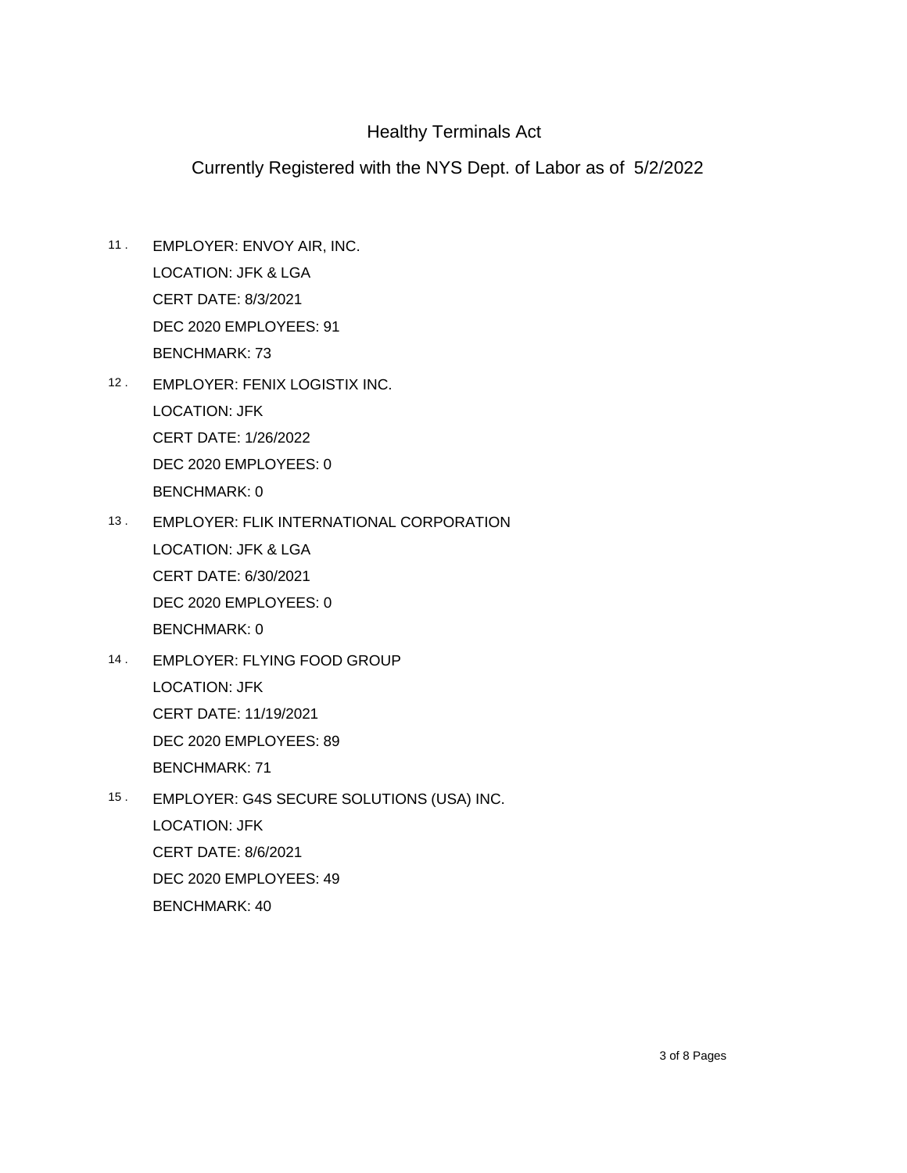- EMPLOYER: ENVOY AIR, INC. CERT DATE: 8/3/2021 11 . DEC 2020 EMPLOYEES: 91 BENCHMARK: 73 LOCATION: JFK & LGA
- EMPLOYER: FENIX LOGISTIX INC. 12 . CERT DATE: 1/26/2022 DEC 2020 EMPLOYEES: 0 BENCHMARK: 0 LOCATION: JFK
- EMPLOYER: FLIK INTERNATIONAL CORPORATION CERT DATE: 6/30/2021 13 . DEC 2020 EMPLOYEES: 0 BENCHMARK: 0 LOCATION: JFK & LGA
- EMPLOYER: FLYING FOOD GROUP 14 . CERT DATE: 11/19/2021 DEC 2020 EMPLOYEES: 89 BENCHMARK: 71 LOCATION: JFK
- EMPLOYER: G4S SECURE SOLUTIONS (USA) INC. CERT DATE: 8/6/2021 15 . DEC 2020 EMPLOYEES: 49 BENCHMARK: 40 LOCATION: JFK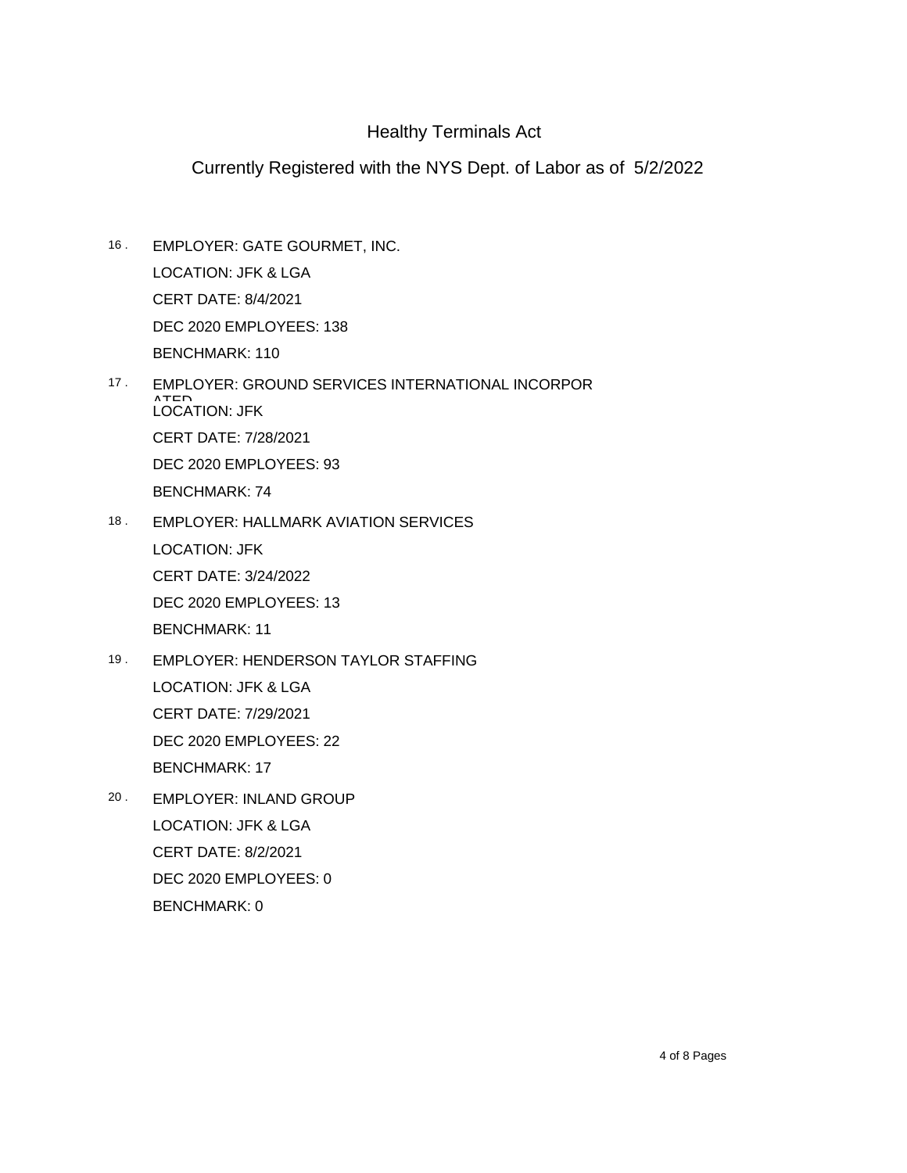- EMPLOYER: GATE GOURMET, INC. CERT DATE: 8/4/2021 16 . DEC 2020 EMPLOYEES: 138 BENCHMARK: 110 LOCATION: JFK & LGA
- EMPLOYER: GROUND SERVICES INTERNATIONAL INCORPOR ATED<br>LOCATION: JFK CERT DATE: 7/28/2021 17 . DEC 2020 EMPLOYEES: 93 BENCHMARK: 74
- EMPLOYER: HALLMARK AVIATION SERVICES CERT DATE: 3/24/2022  $18.$ DEC 2020 EMPLOYEES: 13 BENCHMARK: 11 LOCATION: JFK
- EMPLOYER: HENDERSON TAYLOR STAFFING CERT DATE: 7/29/2021 19 . DEC 2020 EMPLOYEES: 22 BENCHMARK: 17 LOCATION: JFK & LGA
- EMPLOYER: INLAND GROUP CERT DATE: 8/2/2021 20 . DEC 2020 EMPLOYEES: 0 BENCHMARK: 0 LOCATION: JFK & LGA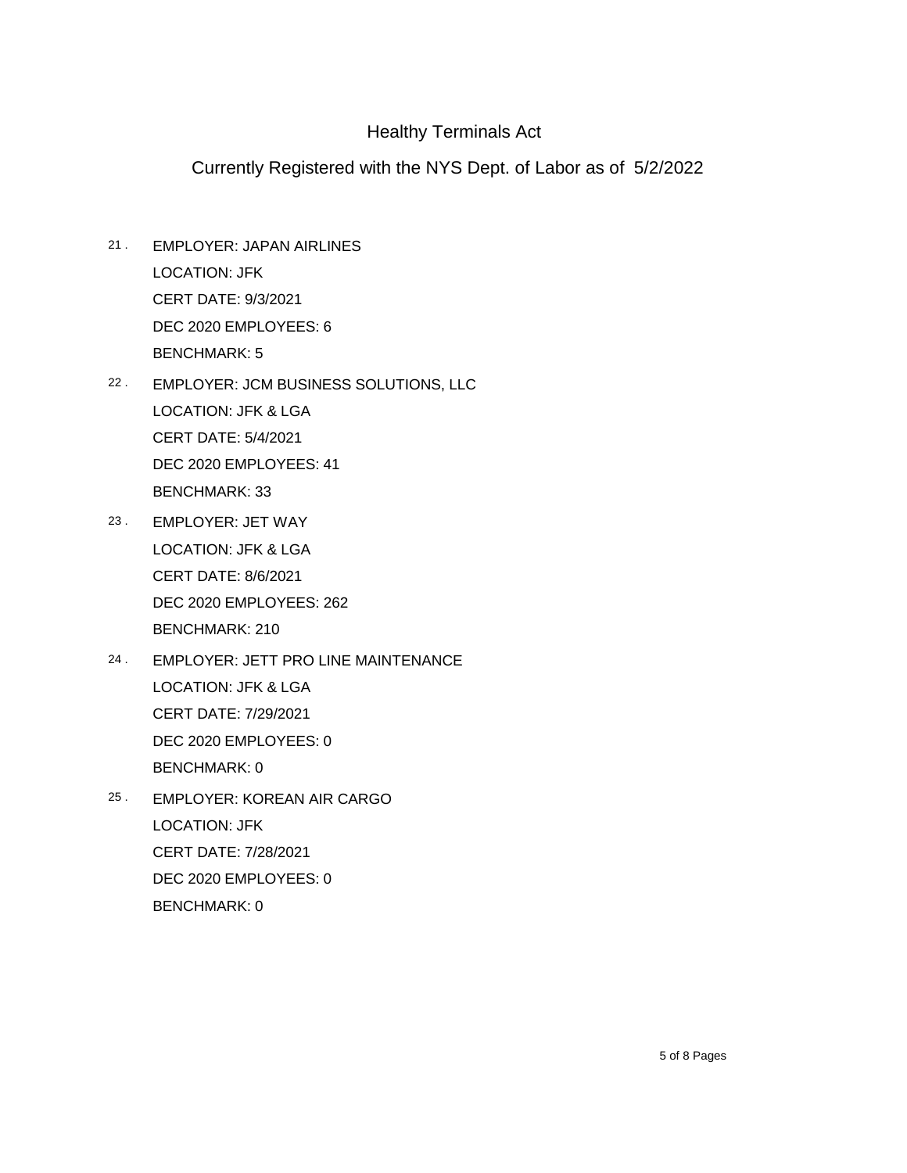- EMPLOYER: JAPAN AIRLINES CERT DATE: 9/3/2021 21 . DEC 2020 EMPLOYEES: 6 BENCHMARK: 5 LOCATION: JFK
- EMPLOYER: JCM BUSINESS SOLUTIONS, LLC 22 . CERT DATE: 5/4/2021 DEC 2020 EMPLOYEES: 41 BENCHMARK: 33 LOCATION: JFK & LGA
- EMPLOYER: JET WAY CERT DATE: 8/6/2021 23 . DEC 2020 EMPLOYEES: 262 BENCHMARK: 210 LOCATION: JFK & LGA
- EMPLOYER: JETT PRO LINE MAINTENANCE CERT DATE: 7/29/2021 24 . DEC 2020 EMPLOYEES: 0 BENCHMARK: 0 LOCATION: JFK & LGA
- EMPLOYER: KOREAN AIR CARGO CERT DATE: 7/28/2021 25 . DEC 2020 EMPLOYEES: 0 BENCHMARK: 0 LOCATION: JFK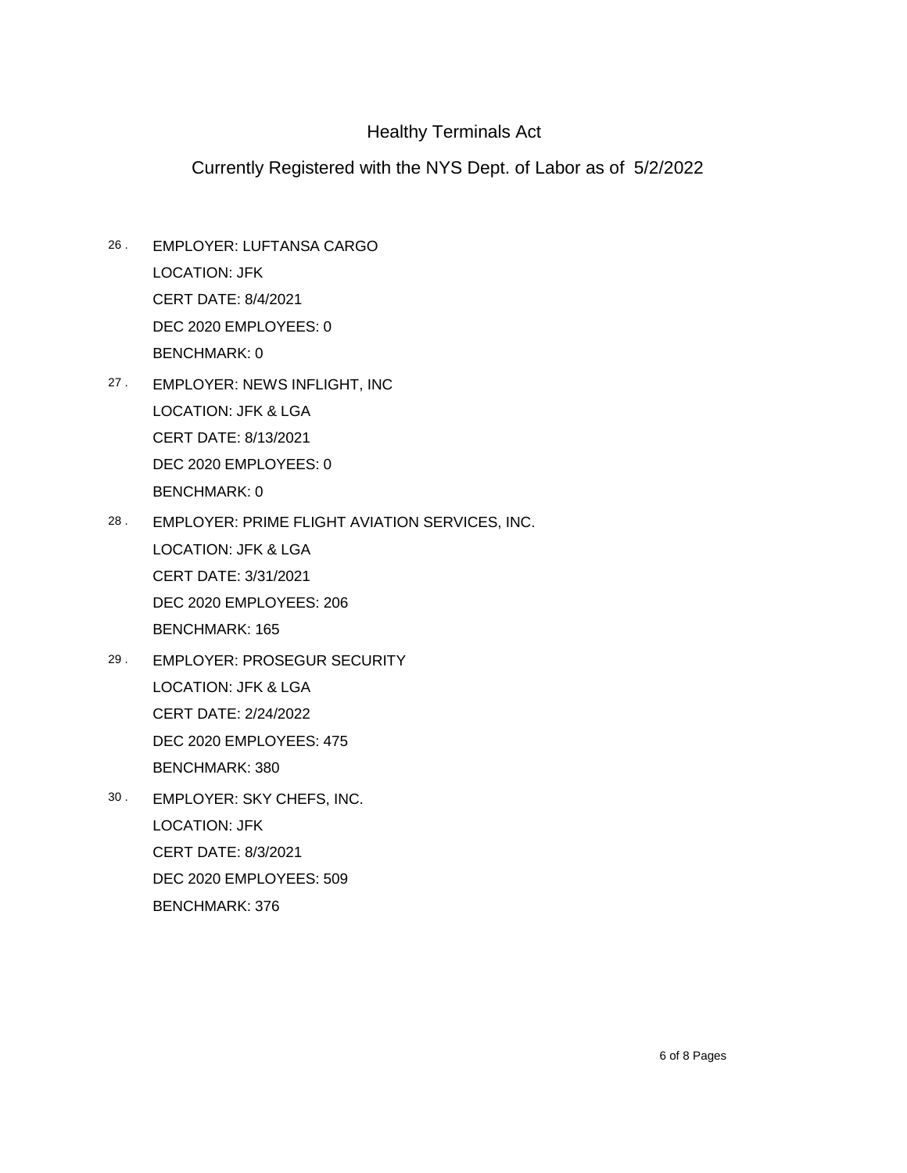- EMPLOYER: LUFTANSA CARGO CERT DATE: 8/4/2021 26 . DEC 2020 EMPLOYEES: 0 BENCHMARK: 0 LOCATION: JFK
- 27 . EMPLOYER: NEWS INFLIGHT, INC CERT DATE: 8/13/2021 DEC 2020 EMPLOYEES: 0 BENCHMARK: 0 LOCATION: JFK & LGA
- EMPLOYER: PRIME FLIGHT AVIATION SERVICES, INC. CERT DATE: 3/31/2021 28 . DEC 2020 EMPLOYEES: 206 BENCHMARK: 165 LOCATION: JFK & LGA
- EMPLOYER: PROSEGUR SECURITY CERT DATE: 2/24/2022 29 . DEC 2020 EMPLOYEES: 475 BENCHMARK: 380 LOCATION: JFK & LGA
- EMPLOYER: SKY CHEFS, INC. CERT DATE: 8/3/2021 30 . DEC 2020 EMPLOYEES: 509 BENCHMARK: 376 LOCATION: JFK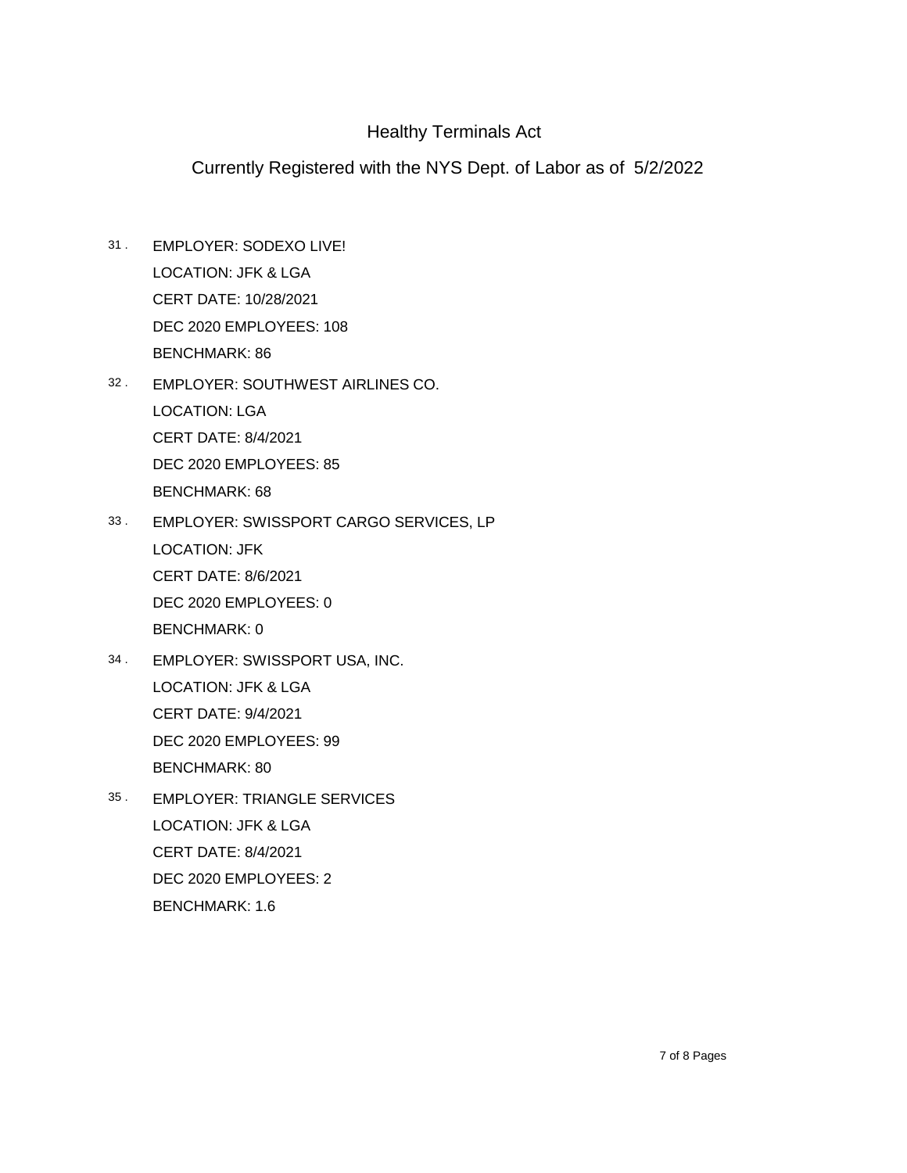- EMPLOYER: SODEXO LIVE! CERT DATE: 10/28/2021 31 . DEC 2020 EMPLOYEES: 108 BENCHMARK: 86 LOCATION: JFK & LGA
- EMPLOYER: SOUTHWEST AIRLINES CO. 32 . CERT DATE: 8/4/2021 DEC 2020 EMPLOYEES: 85 BENCHMARK: 68 LOCATION: LGA
- EMPLOYER: SWISSPORT CARGO SERVICES, LP CERT DATE: 8/6/2021 33 . DEC 2020 EMPLOYEES: 0 BENCHMARK: 0 LOCATION: JFK
- EMPLOYER: SWISSPORT USA, INC. 34 . CERT DATE: 9/4/2021 DEC 2020 EMPLOYEES: 99 BENCHMARK: 80 LOCATION: JFK & LGA
- EMPLOYER: TRIANGLE SERVICES CERT DATE: 8/4/2021 35 . DEC 2020 EMPLOYEES: 2 BENCHMARK: 1.6 LOCATION: JFK & LGA